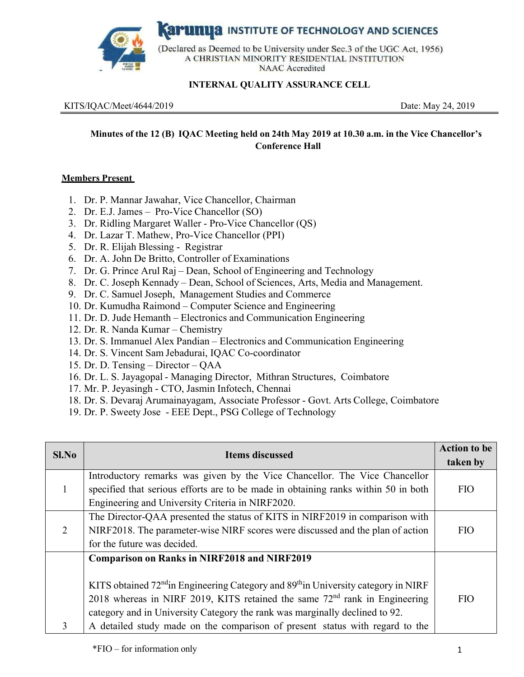**Karunua** INSTITUTE OF TECHNOLOGY AND SCIENCES



(Declared as Deemed to be University under Sec.3 of the UGC Act, 1956) A CHRISTIAN MINORITY RESIDENTIAL INSTITUTION **NAAC** Accredited

## **INTERNAL QUALITY ASSURANCE CELL**

KITS/IQAC/Meet/4644/2019 Date: May 24, 2019

# **Minutes of the 12 (B) IQAC Meeting held on 24th May 2019 at 10.30 a.m. in the Vice Chancellor's Conference Hall**

#### **Members Present**

- 1. Dr. P. Mannar Jawahar, Vice Chancellor, Chairman
- 2. Dr. E.J. James Pro-Vice Chancellor (SO)
- 3. Dr. Ridling Margaret Waller Pro-Vice Chancellor (QS)
- 4. Dr. Lazar T. Mathew, Pro-Vice Chancellor (PPI)
- 5. Dr. R. Elijah Blessing Registrar
- 6. Dr. A. John De Britto, Controller of Examinations
- 7. Dr. G. Prince Arul Raj Dean, School of Engineering and Technology
- 8. Dr. C. Joseph Kennady Dean, School of Sciences, Arts, Media and Management.
- 9. Dr. C. Samuel Joseph, Management Studies and Commerce
- 10. Dr. Kumudha Raimond Computer Science and Engineering
- 11. Dr. D. Jude Hemanth Electronics and Communication Engineering
- 12. Dr. R. Nanda Kumar Chemistry
- 13. Dr. S. Immanuel Alex Pandian Electronics and Communication Engineering
- 14. Dr. S. Vincent Sam Jebadurai, IQAC Co-coordinator
- 15. Dr. D. Tensing Director QAA
- 16. Dr. L. S. Jayagopal Managing Director, Mithran Structures, Coimbatore
- 17. Mr. P. Jeyasingh CTO, Jasmin Infotech, Chennai
- 18. Dr. S. Devaraj Arumainayagam, Associate Professor Govt. Arts College, Coimbatore
- 19. Dr. P. Sweety Jose EEE Dept., PSG College of Technology

| Sl.No | <b>Items discussed</b>                                                                                                                                           | <b>Action to be</b><br>taken by |
|-------|------------------------------------------------------------------------------------------------------------------------------------------------------------------|---------------------------------|
|       | Introductory remarks was given by the Vice Chancellor. The Vice Chancellor<br>specified that serious efforts are to be made in obtaining ranks within 50 in both | <b>FIO</b>                      |
|       | Engineering and University Criteria in NIRF2020.                                                                                                                 |                                 |
|       | The Director-QAA presented the status of KITS in NIRF2019 in comparison with                                                                                     |                                 |
| 2     | NIRF2018. The parameter-wise NIRF scores were discussed and the plan of action                                                                                   | FIO                             |
|       | for the future was decided.                                                                                                                                      |                                 |
|       | <b>Comparison on Ranks in NIRF2018 and NIRF2019</b>                                                                                                              |                                 |
|       | KITS obtained $72nd$ in Engineering Category and $89th$ in University category in NIRF                                                                           |                                 |
|       | 2018 whereas in NIRF 2019, KITS retained the same $72nd$ rank in Engineering                                                                                     | FIO                             |
|       | category and in University Category the rank was marginally declined to 92.                                                                                      |                                 |
| 3     | A detailed study made on the comparison of present status with regard to the                                                                                     |                                 |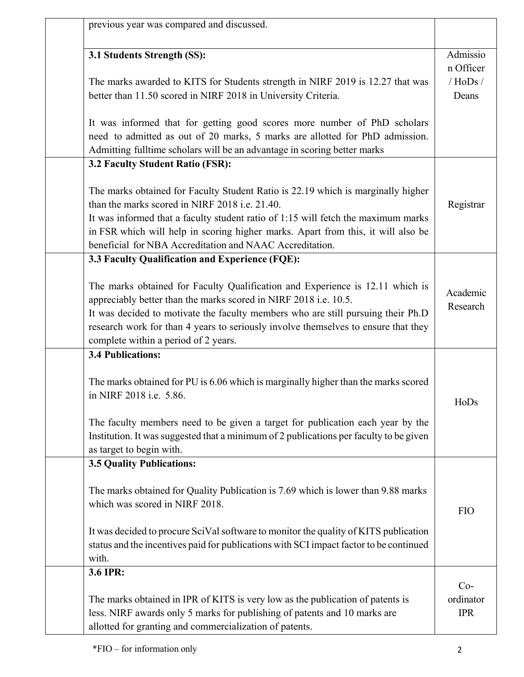| previous year was compared and discussed.                                                                                                                                                                                                                                                                                                                               |                         |
|-------------------------------------------------------------------------------------------------------------------------------------------------------------------------------------------------------------------------------------------------------------------------------------------------------------------------------------------------------------------------|-------------------------|
| 3.1 Students Strength (SS):                                                                                                                                                                                                                                                                                                                                             | Admissio<br>n Officer   |
| The marks awarded to KITS for Students strength in NIRF 2019 is 12.27 that was<br>better than 11.50 scored in NIRF 2018 in University Criteria.                                                                                                                                                                                                                         | / $H$ oDs/<br>Deans     |
| It was informed that for getting good scores more number of PhD scholars<br>need to admitted as out of 20 marks, 5 marks are allotted for PhD admission.<br>Admitting fulltime scholars will be an advantage in scoring better marks                                                                                                                                    |                         |
| 3.2 Faculty Student Ratio (FSR):                                                                                                                                                                                                                                                                                                                                        |                         |
| The marks obtained for Faculty Student Ratio is 22.19 which is marginally higher<br>than the marks scored in NIRF 2018 i.e. 21.40.<br>It was informed that a faculty student ratio of 1:15 will fetch the maximum marks<br>in FSR which will help in scoring higher marks. Apart from this, it will also be<br>beneficial for NBA Accreditation and NAAC Accreditation. | Registrar               |
| 3.3 Faculty Qualification and Experience (FQE):                                                                                                                                                                                                                                                                                                                         |                         |
| The marks obtained for Faculty Qualification and Experience is 12.11 which is<br>appreciably better than the marks scored in NIRF 2018 i.e. 10.5.<br>It was decided to motivate the faculty members who are still pursuing their Ph.D<br>research work for than 4 years to seriously involve themselves to ensure that they<br>complete within a period of 2 years.     | Academic<br>Research    |
| <b>3.4 Publications:</b>                                                                                                                                                                                                                                                                                                                                                |                         |
| The marks obtained for PU is 6.06 which is marginally higher than the marks scored<br>in NIRF 2018 i.e. 5.86.                                                                                                                                                                                                                                                           | HoDs                    |
| The faculty members need to be given a target for publication each year by the<br>Institution. It was suggested that a minimum of 2 publications per faculty to be given<br>as target to begin with.                                                                                                                                                                    |                         |
| <b>3.5 Quality Publications:</b>                                                                                                                                                                                                                                                                                                                                        |                         |
| The marks obtained for Quality Publication is 7.69 which is lower than 9.88 marks<br>which was scored in NIRF 2018.                                                                                                                                                                                                                                                     | <b>FIO</b>              |
| It was decided to procure SciVal software to monitor the quality of KITS publication<br>status and the incentives paid for publications with SCI impact factor to be continued<br>with.                                                                                                                                                                                 |                         |
| 3.6 IPR:                                                                                                                                                                                                                                                                                                                                                                | $Co-$                   |
| The marks obtained in IPR of KITS is very low as the publication of patents is<br>less. NIRF awards only 5 marks for publishing of patents and 10 marks are<br>allotted for granting and commercialization of patents.                                                                                                                                                  | ordinator<br><b>IPR</b> |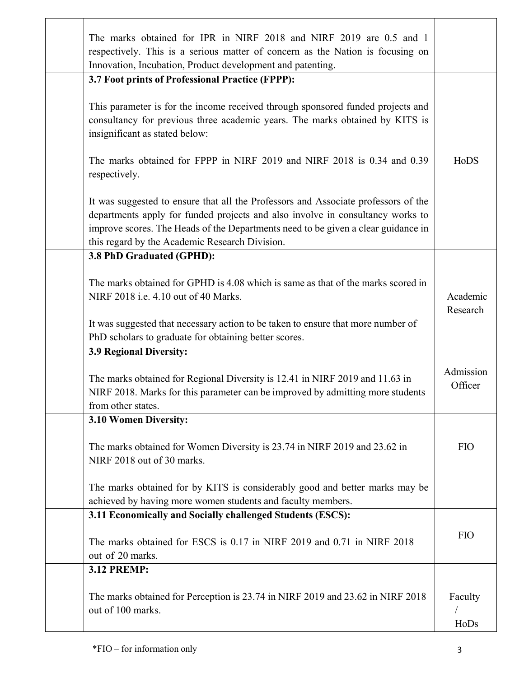| The marks obtained for IPR in NIRF 2018 and NIRF 2019 are 0.5 and 1<br>respectively. This is a serious matter of concern as the Nation is focusing on<br>Innovation, Incubation, Product development and patenting.                                                                                         |                      |
|-------------------------------------------------------------------------------------------------------------------------------------------------------------------------------------------------------------------------------------------------------------------------------------------------------------|----------------------|
| 3.7 Foot prints of Professional Practice (FPPP):                                                                                                                                                                                                                                                            |                      |
| This parameter is for the income received through sponsored funded projects and<br>consultancy for previous three academic years. The marks obtained by KITS is<br>insignificant as stated below:                                                                                                           |                      |
| The marks obtained for FPPP in NIRF 2019 and NIRF 2018 is 0.34 and 0.39<br>respectively.                                                                                                                                                                                                                    | HoDS                 |
| It was suggested to ensure that all the Professors and Associate professors of the<br>departments apply for funded projects and also involve in consultancy works to<br>improve scores. The Heads of the Departments need to be given a clear guidance in<br>this regard by the Academic Research Division. |                      |
| 3.8 PhD Graduated (GPHD):                                                                                                                                                                                                                                                                                   |                      |
| The marks obtained for GPHD is 4.08 which is same as that of the marks scored in<br>NIRF 2018 i.e. 4.10 out of 40 Marks.                                                                                                                                                                                    | Academic<br>Research |
| It was suggested that necessary action to be taken to ensure that more number of<br>PhD scholars to graduate for obtaining better scores.                                                                                                                                                                   |                      |
| 3.9 Regional Diversity:                                                                                                                                                                                                                                                                                     |                      |
| The marks obtained for Regional Diversity is 12.41 in NIRF 2019 and 11.63 in<br>NIRF 2018. Marks for this parameter can be improved by admitting more students<br>from other states.                                                                                                                        | Admission<br>Officer |
| 3.10 Women Diversity:                                                                                                                                                                                                                                                                                       |                      |
| The marks obtained for Women Diversity is 23.74 in NIRF 2019 and 23.62 in<br>NIRF 2018 out of 30 marks.                                                                                                                                                                                                     | <b>FIO</b>           |
| The marks obtained for by KITS is considerably good and better marks may be<br>achieved by having more women students and faculty members.                                                                                                                                                                  |                      |
| 3.11 Economically and Socially challenged Students (ESCS):                                                                                                                                                                                                                                                  |                      |
| The marks obtained for ESCS is 0.17 in NIRF 2019 and 0.71 in NIRF 2018<br>out of 20 marks.                                                                                                                                                                                                                  | <b>FIO</b>           |
| <b>3.12 PREMP:</b>                                                                                                                                                                                                                                                                                          |                      |
| The marks obtained for Perception is 23.74 in NIRF 2019 and 23.62 in NIRF 2018<br>out of 100 marks.                                                                                                                                                                                                         | Faculty<br>HoDs      |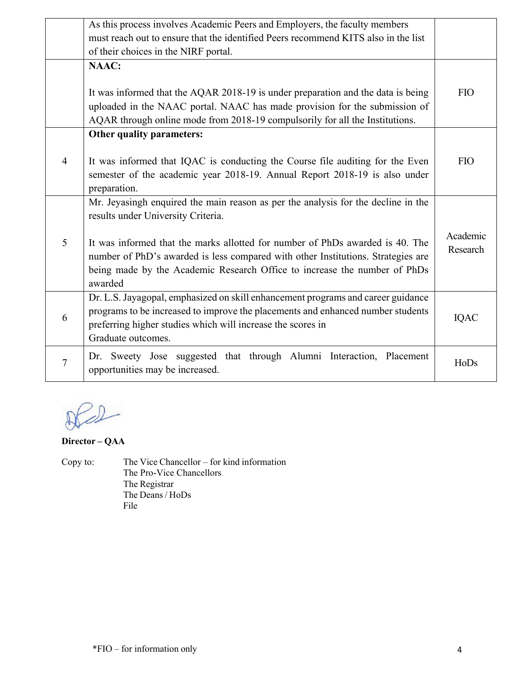|                | As this process involves Academic Peers and Employers, the faculty members                                                                                                                                                                                |                      |  |
|----------------|-----------------------------------------------------------------------------------------------------------------------------------------------------------------------------------------------------------------------------------------------------------|----------------------|--|
|                | must reach out to ensure that the identified Peers recommend KITS also in the list                                                                                                                                                                        |                      |  |
|                | of their choices in the NIRF portal.                                                                                                                                                                                                                      |                      |  |
|                | <b>NAAC:</b>                                                                                                                                                                                                                                              |                      |  |
|                | It was informed that the AQAR 2018-19 is under preparation and the data is being                                                                                                                                                                          | <b>FIO</b>           |  |
|                | uploaded in the NAAC portal. NAAC has made provision for the submission of<br>AQAR through online mode from 2018-19 compulsorily for all the Institutions.                                                                                                |                      |  |
|                | Other quality parameters:                                                                                                                                                                                                                                 |                      |  |
| $\overline{4}$ | It was informed that IQAC is conducting the Course file auditing for the Even<br>semester of the academic year 2018-19. Annual Report 2018-19 is also under<br>preparation.                                                                               | <b>FIO</b>           |  |
|                | Mr. Jeyasingh enquired the main reason as per the analysis for the decline in the<br>results under University Criteria.                                                                                                                                   |                      |  |
| 5              | It was informed that the marks allotted for number of PhDs awarded is 40. The<br>number of PhD's awarded is less compared with other Institutions. Strategies are<br>being made by the Academic Research Office to increase the number of PhDs<br>awarded | Academic<br>Research |  |
| 6              | Dr. L.S. Jayagopal, emphasized on skill enhancement programs and career guidance<br>programs to be increased to improve the placements and enhanced number students<br>preferring higher studies which will increase the scores in<br>Graduate outcomes.  |                      |  |
| $\overline{7}$ | Dr. Sweety Jose suggested that through Alumni Interaction, Placement<br>opportunities may be increased.                                                                                                                                                   | HoDs                 |  |

 $D2$ 

**Director – QAA** 

Copy to: The Vice Chancellor – for kind information The Pro-Vice Chancellors The Registrar The Deans / HoDs File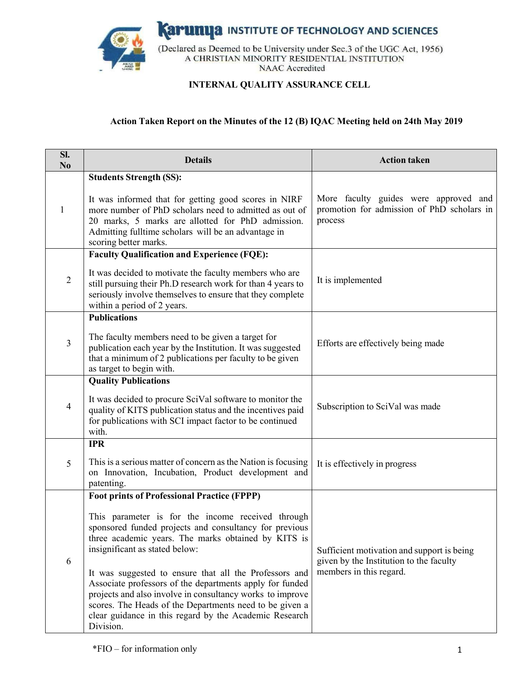

**Karumya** INSTITUTE OF TECHNOLOGY AND SCIENCES

(Declared as Deemed to be University under Sec.3 of the UGC Act, 1956) A CHRISTIAN MINORITY RESIDENTIAL INSTITUTION **NAAC** Accredited

### **INTERNAL QUALITY ASSURANCE CELL**

#### **Action Taken Report on the Minutes of the 12 (B) IQAC Meeting held on 24th May 2019**

| SI.<br>N <sub>o</sub> | <b>Details</b>                                                                                                                                                                                                                                                                                                                                                                                                                                                                                                                                                                  | <b>Action taken</b>                                                                                              |
|-----------------------|---------------------------------------------------------------------------------------------------------------------------------------------------------------------------------------------------------------------------------------------------------------------------------------------------------------------------------------------------------------------------------------------------------------------------------------------------------------------------------------------------------------------------------------------------------------------------------|------------------------------------------------------------------------------------------------------------------|
| 1                     | <b>Students Strength (SS):</b><br>It was informed that for getting good scores in NIRF<br>more number of PhD scholars need to admitted as out of<br>20 marks, 5 marks are allotted for PhD admission.<br>Admitting fulltime scholars will be an advantage in                                                                                                                                                                                                                                                                                                                    | More faculty guides were approved and<br>promotion for admission of PhD scholars in<br>process                   |
| $\sqrt{2}$            | scoring better marks.<br><b>Faculty Qualification and Experience (FQE):</b><br>It was decided to motivate the faculty members who are<br>still pursuing their Ph.D research work for than 4 years to<br>seriously involve themselves to ensure that they complete<br>within a period of 2 years.                                                                                                                                                                                                                                                                                | It is implemented                                                                                                |
| 3                     | <b>Publications</b><br>The faculty members need to be given a target for<br>publication each year by the Institution. It was suggested<br>that a minimum of 2 publications per faculty to be given<br>as target to begin with.                                                                                                                                                                                                                                                                                                                                                  | Efforts are effectively being made                                                                               |
| 4                     | <b>Quality Publications</b><br>It was decided to procure SciVal software to monitor the<br>quality of KITS publication status and the incentives paid<br>for publications with SCI impact factor to be continued<br>with.                                                                                                                                                                                                                                                                                                                                                       | Subscription to SciVal was made                                                                                  |
| 5                     | <b>IPR</b><br>This is a serious matter of concern as the Nation is focusing<br>on Innovation, Incubation, Product development and<br>patenting.                                                                                                                                                                                                                                                                                                                                                                                                                                 | It is effectively in progress                                                                                    |
| 6                     | <b>Foot prints of Professional Practice (FPPP)</b><br>This parameter is for the income received through<br>sponsored funded projects and consultancy for previous<br>three academic years. The marks obtained by KITS is<br>insignificant as stated below:<br>It was suggested to ensure that all the Professors and<br>Associate professors of the departments apply for funded<br>projects and also involve in consultancy works to improve<br>scores. The Heads of the Departments need to be given a<br>clear guidance in this regard by the Academic Research<br>Division. | Sufficient motivation and support is being<br>given by the Institution to the faculty<br>members in this regard. |